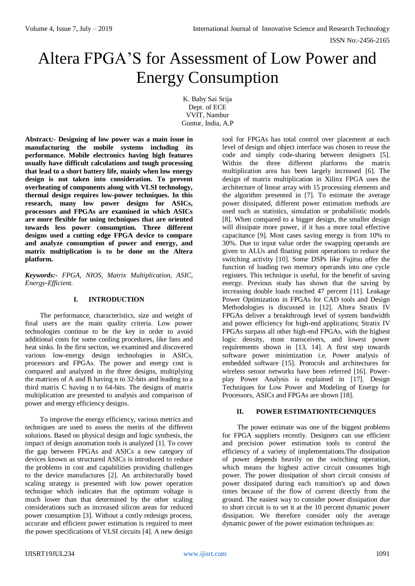# Altera FPGA'S for Assessment of Low Power and Energy Consumption

K. Baby Sai Srija Dept. of ECE VVIT, Nambur Guntur, India, A.P

**Abstract***:-* **Designing of low power was a main issue in manufacturing the mobile systems including its performance. Mobile electronics having high features usually have difficult calculations and tough processing that lead to a short battery life, mainly when low energy design is not taken into consideration. To prevent overheating of components along with VLSI technology, thermal design requires low-power techniques. In this research, many low power designs for ASICs, processors and FPGAs are examined in which ASICs are more flexible for using techniques that are oriented towards less power consumption. Three different designs used a cutting edge FPGA device to compare and analyze consumption of power and energy, and matrix multiplication is to be done on the Altera platform.**

*Keywords:- FPGA, NIOS, Matrix Multiplication, ASIC, Energy-Efficient.*

## **I. INTRODUCTION**

The performance, characteristics, size and weight of final users are the main quality criteria. Low power technologies continue to be the key in order to avoid additional costs for some cooling procedures, like fans and heat sinks. In the first section, we examined and discovered various low-energy design technologies in ASICs, processors and FPGAs. The power and energy cost is compared and analyzed in the three designs, multiplying the matrices of A and B having n to 32-bits and leading to a third matrix C having n to 64-bits. The designs of matrix multiplication are presented to analysis and comparison of power and energy efficiency designs.

To improve the energy efficiency, various metrics and techniques are used to assess the merits of the different solutions. Based on physical design and logic synthesis, the impact of design automation tools is analyzed [1]. To cover the gap between FPGAs and ASICs a new category of devices known as structured ASICs is introduced to reduce the problems in cost and capabilities providing challenges to the device manufactures [2]. An architecturally based scaling strategy is presented with low power operation technique which indicates that the optimum voltage is much lower than that determined by the other scaling considerations such as increased silicon areas for reduced power consumption [3]. Without a costly redesign process, accurate and efficient power estimation is required to meet the power specifications of VLSI circuits [4]. A new design

tool for FPGAs has total control over placement at each level of design and object interface was chosen to reuse the code and simply code-sharing between designers [5]. Within the three different platforms the matrix multiplication area has been largely increased [6]. The design of matrix multiplication in Xilinx FPGA uses the architecture of linear array with 15 processing elements and the algorithm presented in [7]. To estimate the average power dissipated, different power estimation methods are used such as statistics, simulation or probabilistic models [8]. When compared to a bigger design, the smaller design will dissipate more power, if it has a more total effective capacitance [9]. Most cases saving energy is from 10% to 30%. Due to input value order the swapping operands are given to ALUs and floating point operations to reduce the switching activity [10]. Some DSPs like Fujitsu offer the function of loading two memory operands into one cycle registers. This technique is useful, for the benefit of saving energy. Previous study has shown that the saving by increasing double loads reached 47 percent [11]. Leakage Power Optimization in FPGAs for CAD tools and Design Methodologies is discussed in [12]. Altera Stratix IV FPGAs deliver a breakthrough level of system bandwidth and power efficiency for high-end applications; Stratix IV FPGAs surpass all other high-end FPGAs, with the highest logic density, most transceivers, and lowest power requirements shown in [13, 14]. A first step towards software power minimization i.e. Power analysis of embedded software [15]. Protocols and architectures for wireless sensor networks have been referred [16]. Powerplay Power Analysis is explained in [17]. Design Techniques for Low Power and Modeling of Energy for Processors, ASICs and FPGAs are shown [18].

## **II. POWER ESTIMATIONTECHNIQUES**

The power estimate was one of the biggest problems for FPGA suppliers recently. Designers can use efficient and precision power estimation tools to control the efficiency of a variety of implementations.The dissipation of power depends heavily on the switching operation, which means the highest active circuit consumes high power. The power dissipation of short circuit consists of power dissipated during each transition's up and down times because of the flow of current directly from the ground. The easiest way to consider power dissipation due to short circuit is to set it at the 10 percent dynamic power dissipation. We therefore consider only the average dynamic power of the power estimation techniques as: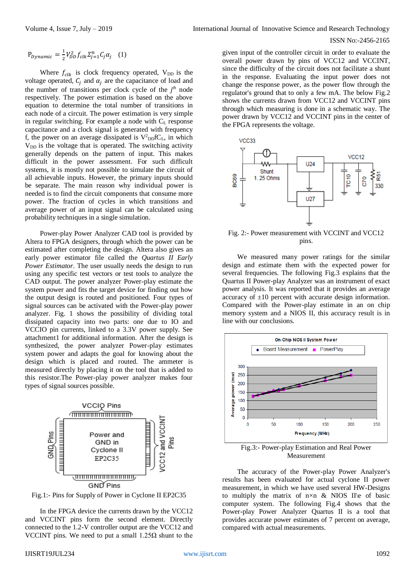#### ISSN No:-2456-2165

$$
P_{Dynamic} = \frac{1}{2} V_{DD}^2 f_{clk} \Sigma_{j=1}^n C_j \alpha_j \quad (1)
$$

Where  $f_{\text{clk}}$  is clock frequency operated, V<sub>DD</sub> is the voltage operated,  $C_i$  and  $\alpha_i$  are the capacitance of load and the number of transitions per clock cycle of the  $j<sup>th</sup>$  node respectively. The power estimation is based on the above equation to determine the total number of transitions in each node of a circuit. The power estimation is very simple in regular switching. For example a node with C<sub>L</sub> response capacitance and a clock signal is generated with frequency f, the power on an average dissipated is  $V^2_{\text{DD}}fC_L$ , in which  $V<sub>DD</sub>$  is the voltage that is operated. The switching activity generally depends on the pattern of input. This makes difficult in the power assessment. For such difficult systems, it is mostly not possible to simulate the circuit of all achievable inputs. However, the primary inputs should be separate. The main reason why individual power is needed is to find the circuit components that consume more power. The fraction of cycles in which transitions and average power of an input signal can be calculated using probability techniques in a single simulation.

Power-play Power Analyzer CAD tool is provided by Altera to FPGA designers, through which the power can be estimated after completing the design. Altera also gives an early power estimator file called the *Quartus II Early Power Estimator*. The user usually needs the design to run using any specific test vectors or test tools to analyze the CAD output. The power analyzer Power-play estimate the system power and fits the target device for finding out how the output design is routed and positioned. Four types of signal sources can be activated with the Power-play power analyzer. Fig. 1 shows the possibility of dividing total dissipated capacity into two parts: one due to IO and VCCIO pin currents, linked to a 3.3V power supply. See attachment1 for additional information. After the design is synthesized, the power analyzer Power-play estimates system power and adapts the goal for knowing about the design which is placed and routed. The ammeter is measured directly by placing it on the tool that is added to this resistor.The Power-play power analyzer makes four types of signal sources possible.



Fig.1:- Pins for Supply of Power in Cyclone II EP2C35

In the FPGA device the currents drawn by the VCC12 and VCCINT pins form the second element. Directly connected to the 1.2-V controller output are the VCC12 and VCCINT pins. We need to put a small  $1.25Ω$  shunt to the

given input of the controller circuit in order to evaluate the overall power drawn by pins of VCC12 and VCCINT, since the difficulty of the circuit does not facilitate a shunt in the response. Evaluating the input power does not change the response power, as the power flow through the regulator's ground that to only a few mA. The below Fig.2 shows the currents drawn from VCC12 and VCCINT pins through which measuring is done in a schematic way. The power drawn by VCC12 and VCCINT pins in the center of the FPGA represents the voltage.



Fig. 2:- Power measurement with VCCINT and VCC12 pins.

We measured many power ratings for the similar design and estimate them with the expected power for several frequencies. The following Fig.3 explains that the Quartus II Power-play Analyzer was an instrument of exact power analysis. It was reported that it provides an average accuracy of  $\pm 10$  percent with accurate design information. Compared with the Power-play estimate in an on chip memory system and a NIOS II, this accuracy result is in line with our conclusions.



Fig.3:- Power-play Estimation and Real Power Measurement

The accuracy of the Power-play Power Analyzer's results has been evaluated for actual cyclone II power measurement, in which we have used several HW-Designs to multiply the matrix of  $n \times n$  & NIOS II\e of basic computer system. The following Fig.4 shows that the Power-play Power Analyzer Quartus II is a tool that provides accurate power estimates of 7 percent on average, compared with actual measurements.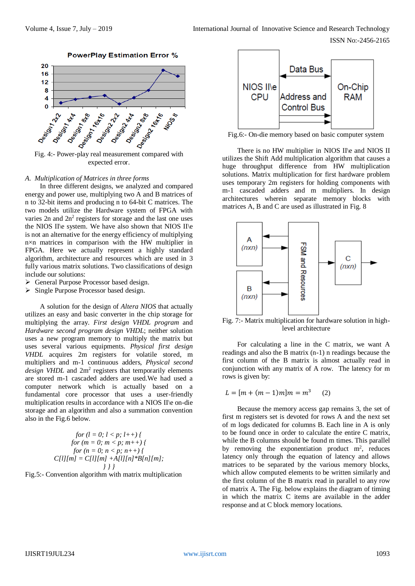

**PowerPlay Estimation Error %** 

expected error.

#### *A. Multiplication of Matrices in three forms*

In three different designs, we analyzed and compared energy and power use, multiplying two A and B matrices of n to 32-bit items and producing n to 64-bit C matrices. The two models utilize the Hardware system of FPGA with varies  $2n$  and  $2n^2$  registers for storage and the last one uses the NIOS II\e system. We have also shown that NIOS II\e is not an alternative for the energy efficiency of multiplying n×n matrices in comparison with the HW multiplier in FPGA. Here we actually represent a highly standard algorithm, architecture and resources which are used in 3 fully various matrix solutions. Two classifications of design include our solutions:

- ▶ General Purpose Processor based design.
- $\triangleright$  Single Purpose Processor based design.

A solution for the design of *Altera NIOS* that actually utilizes an easy and basic converter in the chip storage for multiplying the array. *First design VHDL program* and *Hardware second program design VHDL*; neither solution uses a new program memory to multiply the matrix but uses several various equipments. *Physical first design VHDL* acquires 2m registers for volatile stored, m multipliers and m-1 continuous adders, *Physical second*  design VHDL and 2m<sup>2</sup> registers that temporarily elements are stored m-1 cascaded adders are used.We had used a computer network which is actually based on a fundamental core processor that uses a user-friendly multiplication results in accordance with a NIOS II\e on-die storage and an algorithm and also a summation convention also in the Fig.6 below.

$$
for (l = 0; l < p; l++)\nbrace{for (m = 0; m < p; m++)\nbrace{for (n = 0; n < p; n++)\nbrace{C[l][m] = C[l][m] + A[l][n] * B[n][m];\nbrace})}
$$

Fig.5:- Convention algorithm with matrix multiplication



Fig.6:- On-die memory based on basic computer system

There is no HW multiplier in NIOS II\e and NIOS II utilizes the Shift Add multiplication algorithm that causes a huge throughput difference from HW multiplication solutions. Matrix multiplication for first hardware problem uses temporary 2m registers for holding components with m-1 cascaded adders and m multipliers. In design architectures wherein separate memory blocks with matrices A, B and C are used as illustrated in Fig. 8



Fig. 7:- Matrix multiplication for hardware solution in highlevel architecture

For calculating a line in the C matrix, we want A readings and also the B matrix (n-1) n readings because the first column of the B matrix is almost actually read in conjunction with any matrix of A row. The latency for m rows is given by:

$$
L = [m + (m-1)m]m = m^3
$$
 (2)

Because the memory access gap remains 3, the set of first m registers set is devoted for rows A and the next set of m logs dedicated for columns B. Each line in A is only to be found once in order to calculate the entire C matrix, while the B columns should be found m times. This parallel by removing the exponentiation product  $m^2$ , reduces latency only through the equation of latency and allows matrices to be separated by the various memory blocks, which allow computed elements to be written similarly and the first column of the B matrix read in parallel to any row of matrix A. The Fig. below explains the diagram of timing in which the matrix C items are available in the adder response and at C block memory locations.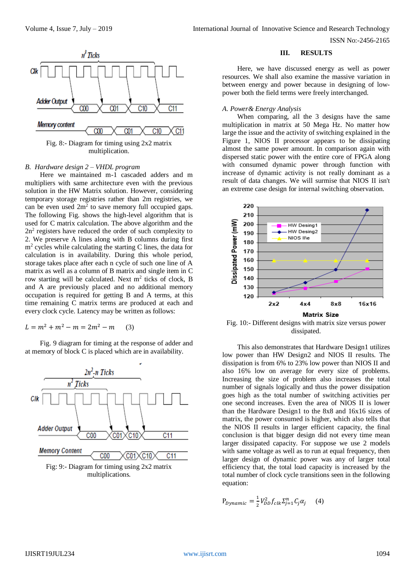ISSN No:-2456-2165



## *B. Hardware design 2 – VHDL program*

Here we maintained m-1 cascaded adders and m multipliers with same architecture even with the previous solution in the HW Matrix solution. However, considering temporary storage registries rather than 2m registries, we can be even used  $2m^2$  to save memory full occupied gaps. The following Fig. shows the high-level algorithm that is used for C matrix calculation. The above algorithm and the  $2n<sup>2</sup>$  registers have reduced the order of such complexity to 2. We preserve A lines along with B columns during first  $m<sup>2</sup>$  cycles while calculating the starting C lines, the data for calculation is in availability. During this whole period, storage takes place after each n cycle of such one line of A matrix as well as a column of B matrix and single item in C row starting will be calculated. Next  $m<sup>2</sup>$  ticks of clock, B and A are previously placed and no additional memory occupation is required for getting B and A terms, at this time remaining C matrix terms are produced at each and every clock cycle. Latency may be written as follows:

$$
L = m^2 + m^2 - m = 2m^2 - m \tag{3}
$$

Fig. 9 diagram for timing at the response of adder and at memory of block C is placed which are in availability.



multiplications.

#### **III. RESULTS**

Here, we have discussed energy as well as power resources. We shall also examine the massive variation in between energy and power because in designing of lowpower both the field terms were freely interchanged.

#### *A. Power& Energy Analysis*

When comparing, all the 3 designs have the same multiplication in matrix at 50 Mega Hz. No matter how large the issue and the activity of switching explained in the Figure 1, NIOS II processor appears to be dissipating almost the same power amount. In comparison again with dispersed static power with the entire core of FPGA along with consumed dynamic power through function with increase of dynamic activity is not really dominant as a result of data changes. We will surmise that NIOS II isn't an extreme case design for internal switching observation.



Fig. 10:- Different designs with matrix size versus power dissipated.

This also demonstrates that Hardware Design1 utilizes low power than HW Design2 and NIOS II results. The dissipation is from 6% to 23% low power than NIOS II and also 16% low on average for every size of problems. Increasing the size of problem also increases the total number of signals logically and thus the power dissipation goes high as the total number of switching activities per one second increases. Even the area of NIOS II is lower than the Hardware Design1 to the 8x8 and 16x16 sizes of matrix, the power consumed is higher, which also tells that the NIOS II results in larger efficient capacity, the final conclusion is that bigger design did not every time mean larger dissipated capacity. For suppose we use 2 models with same voltage as well as to run at equal frequency, then larger design of dynamic power was any of larger total efficiency that, the total load capacity is increased by the total number of clock cycle transitions seen in the following equation:

$$
P_{Dynamic} = \frac{1}{2} V_{DD}^2 f_{clk} \Sigma_{j=1}^n C_j \alpha_j \qquad (4)
$$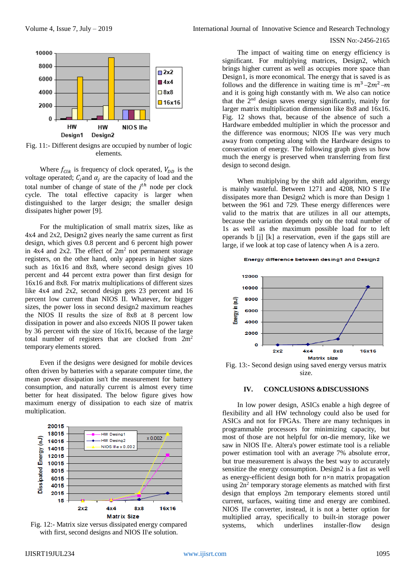

Fig. 11:- Different designs are occupied by number of logic elements.

Where  $f_{\text{C}lk}$  is frequency of clock operated,  $V_{DD}$  is the voltage operated;  $C_i$  and  $\alpha_i$  are the capacity of load and the total number of change of state of the  $j<sup>th</sup>$  node per clock cycle. The total effective capacity is larger when distinguished to the larger design; the smaller design dissipates higher power [9].

For the multiplication of small matrix sizes, like as 4x4 and 2x2, Design2 gives nearly the same current as first design, which gives 0.8 percent and 6 percent high power in  $4x4$  and  $2x2$ . The effect of  $2m<sup>2</sup>$  not permanent storage registers, on the other hand, only appears in higher sizes such as 16x16 and 8x8, where second design gives 10 percent and 44 percent extra power than first design for 16x16 and 8x8. For matrix multiplications of different sizes like 4x4 and 2x2, second design gets 23 percent and 16 percent low current than NIOS II. Whatever, for bigger sizes, the power loss in second design2 maximum reaches the NIOS II results the size of 8x8 at 8 percent low dissipation in power and also exceeds NIOS II power taken by 36 percent with the size of 16x16, because of the large total number of registers that are clocked from  $2m<sup>2</sup>$ temporary elements stored.

Even if the designs were designed for mobile devices often driven by batteries with a separate computer time, the mean power dissipation isn't the measurement for battery consumption, and naturally current is almost every time better for heat dissipated. The below figure gives how maximum energy of dissipation to each size of matrix multiplication.



Fig. 12:- Matrix size versus dissipated energy compared with first, second designs and NIOS II\e solution.

Volume 4, Issue 7, July – 2019 **International Journal of Innovative Science and Research Technology** 

#### ISSN No:-2456-2165

The impact of waiting time on energy efficiency is significant. For multiplying matrices, Design2, which brings higher current as well as occupies more space than Design1, is more economical. The energy that is saved is as follows and the difference in waiting time is  $m^3-2m^2-m$ and it is going high constantly with m. We also can notice that the 2<sup>nd</sup> design saves energy significantly, mainly for larger matrix multiplication dimension like 8x8 and 16x16. Fig. 12 shows that, because of the absence of such a Hardware embedded multiplier in which the processor and the difference was enormous; NIOS II\e was very much away from competing along with the Hardware designs to conservation of energy. The following graph gives us how much the energy is preserved when transferring from first design to second design.

When multiplying by the shift add algorithm, energy is mainly wasteful. Between 1271 and 4208, NIO S II\e dissipates more than Design2 which is more than Design 1 between the 961 and 729. These energy differences were valid to the matrix that are utilizes in all our attempts, because the variation depends only on the total number of 1s as well as the maximum possible load for to left operands b [j] [k] a reservation, even if the gaps still are large, if we look at top case of latency when A is a zero.

#### Energy difference between desing1 and Design2



Fig. 13:- Second design using saved energy versus matrix size.

#### **IV. CONCLUSIONS &DISCUSSIONS**

In low power design, ASICs enable a high degree of flexibility and all HW technology could also be used for ASICs and not for FPGAs. There are many techniques in programmable processors for minimizing capacity, but most of those are not helpful for on-die memory, like we saw in NIOS II\e. Altera's power estimate tool is a reliable power estimation tool with an average 7% absolute error, but true measurement is always the best way to accurately sensitize the energy consumption. Design2 is a fast as well as energy-efficient design both for n×n matrix propagation using 2n<sup>2</sup> temporary storage elements as matched with first design that employs 2m temporary elements stored until current, surfaces, waiting time and energy are combined. NIOS II\e converter, instead, it is not a better option for multiplied array, specifically to built-in storage power systems, which underlines installer-flow design